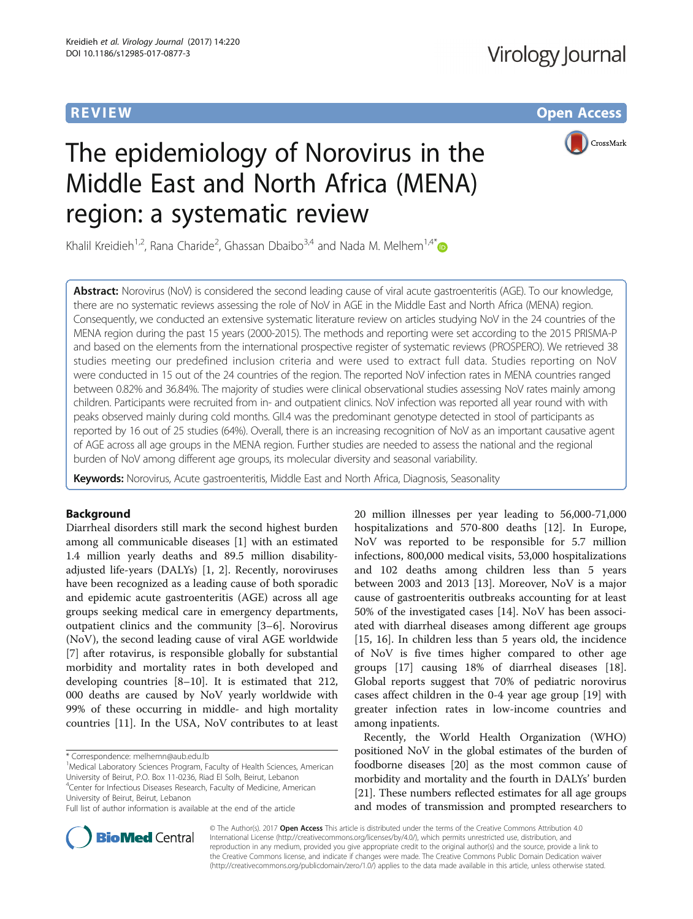**REVIEW CONSTRUCTION CONSTRUCTION CONSTRUCTS** 



# The epidemiology of Norovirus in the Middle East and North Africa (MENA) region: a systematic review

Khalil Kreidieh<sup>1,2</sup>, Rana Charide<sup>2</sup>, Ghassan Dbaibo<sup>3,4</sup> and Nada M. Melhem<sup>1,4\*</sup>

Abstract: Norovirus (NoV) is considered the second leading cause of viral acute gastroenteritis (AGE). To our knowledge, there are no systematic reviews assessing the role of NoV in AGE in the Middle East and North Africa (MENA) region. Consequently, we conducted an extensive systematic literature review on articles studying NoV in the 24 countries of the MENA region during the past 15 years (2000-2015). The methods and reporting were set according to the 2015 PRISMA-P and based on the elements from the international prospective register of systematic reviews (PROSPERO). We retrieved 38 studies meeting our predefined inclusion criteria and were used to extract full data. Studies reporting on NoV were conducted in 15 out of the 24 countries of the region. The reported NoV infection rates in MENA countries ranged between 0.82% and 36.84%. The majority of studies were clinical observational studies assessing NoV rates mainly among children. Participants were recruited from in- and outpatient clinics. NoV infection was reported all year round with with peaks observed mainly during cold months. GII.4 was the predominant genotype detected in stool of participants as reported by 16 out of 25 studies (64%). Overall, there is an increasing recognition of NoV as an important causative agent of AGE across all age groups in the MENA region. Further studies are needed to assess the national and the regional burden of NoV among different age groups, its molecular diversity and seasonal variability.

Keywords: Norovirus, Acute gastroenteritis, Middle East and North Africa, Diagnosis, Seasonality

# Background

Diarrheal disorders still mark the second highest burden among all communicable diseases [\[1](#page-6-0)] with an estimated 1.4 million yearly deaths and 89.5 million disabilityadjusted life-years (DALYs) [[1,](#page-6-0) [2\]](#page-7-0). Recently, noroviruses have been recognized as a leading cause of both sporadic and epidemic acute gastroenteritis (AGE) across all age groups seeking medical care in emergency departments, outpatient clinics and the community [[3](#page-7-0)–[6\]](#page-7-0). Norovirus (NoV), the second leading cause of viral AGE worldwide [[7\]](#page-7-0) after rotavirus, is responsible globally for substantial morbidity and mortality rates in both developed and developing countries [[8](#page-7-0)–[10](#page-7-0)]. It is estimated that 212, 000 deaths are caused by NoV yearly worldwide with 99% of these occurring in middle- and high mortality countries [[11](#page-7-0)]. In the USA, NoV contributes to at least

\* Correspondence: [melhemn@aub.edu.lb](mailto:melhemn@aub.edu.lb) <sup>1</sup>

<sup>1</sup>Medical Laboratory Sciences Program, Faculty of Health Sciences, American University of Beirut, P.O. Box 11-0236, Riad El Solh, Beirut, Lebanon <sup>4</sup>Center for Infectious Diseases Research, Faculty of Medicine, American University of Beirut, Beirut, Lebanon

Full list of author information is available at the end of the article

20 million illnesses per year leading to 56,000-71,000 hospitalizations and 570-800 deaths [[12\]](#page-7-0). In Europe, NoV was reported to be responsible for 5.7 million infections, 800,000 medical visits, 53,000 hospitalizations and 102 deaths among children less than 5 years between 2003 and 2013 [\[13](#page-7-0)]. Moreover, NoV is a major cause of gastroenteritis outbreaks accounting for at least 50% of the investigated cases [[14](#page-7-0)]. NoV has been associated with diarrheal diseases among different age groups [[15, 16](#page-7-0)]. In children less than 5 years old, the incidence of NoV is five times higher compared to other age groups [[17](#page-7-0)] causing 18% of diarrheal diseases [\[18](#page-7-0)]. Global reports suggest that 70% of pediatric norovirus cases affect children in the 0-4 year age group [\[19](#page-7-0)] with greater infection rates in low-income countries and among inpatients.

Recently, the World Health Organization (WHO) positioned NoV in the global estimates of the burden of foodborne diseases [\[20](#page-7-0)] as the most common cause of morbidity and mortality and the fourth in DALYs' burden [[21](#page-7-0)]. These numbers reflected estimates for all age groups and modes of transmission and prompted researchers to



© The Author(s). 2017 **Open Access** This article is distributed under the terms of the Creative Commons Attribution 4.0 International License [\(http://creativecommons.org/licenses/by/4.0/](http://creativecommons.org/licenses/by/4.0/)), which permits unrestricted use, distribution, and reproduction in any medium, provided you give appropriate credit to the original author(s) and the source, provide a link to the Creative Commons license, and indicate if changes were made. The Creative Commons Public Domain Dedication waiver [\(http://creativecommons.org/publicdomain/zero/1.0/](http://creativecommons.org/publicdomain/zero/1.0/)) applies to the data made available in this article, unless otherwise stated.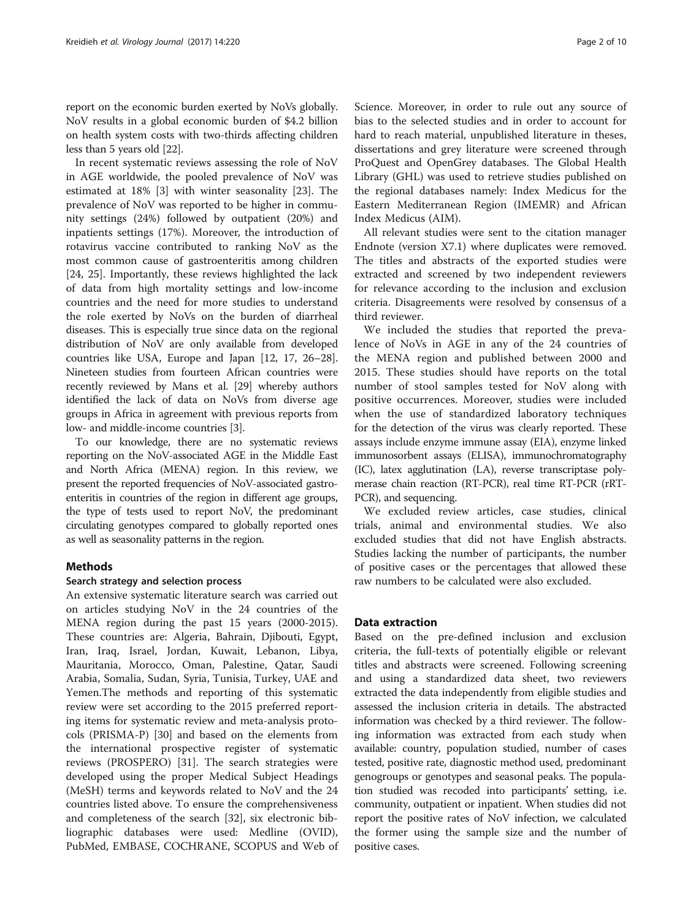report on the economic burden exerted by NoVs globally. NoV results in a global economic burden of \$4.2 billion on health system costs with two-thirds affecting children less than 5 years old [[22](#page-7-0)].

In recent systematic reviews assessing the role of NoV in AGE worldwide, the pooled prevalence of NoV was estimated at 18% [\[3\]](#page-7-0) with winter seasonality [[23](#page-7-0)]. The prevalence of NoV was reported to be higher in community settings (24%) followed by outpatient (20%) and inpatients settings (17%). Moreover, the introduction of rotavirus vaccine contributed to ranking NoV as the most common cause of gastroenteritis among children [[24, 25](#page-7-0)]. Importantly, these reviews highlighted the lack of data from high mortality settings and low-income countries and the need for more studies to understand the role exerted by NoVs on the burden of diarrheal diseases. This is especially true since data on the regional distribution of NoV are only available from developed countries like USA, Europe and Japan [\[12, 17](#page-7-0), [26](#page-7-0)–[28](#page-7-0)]. Nineteen studies from fourteen African countries were recently reviewed by Mans et al. [\[29\]](#page-7-0) whereby authors identified the lack of data on NoVs from diverse age groups in Africa in agreement with previous reports from low- and middle-income countries [[3](#page-7-0)].

To our knowledge, there are no systematic reviews reporting on the NoV-associated AGE in the Middle East and North Africa (MENA) region. In this review, we present the reported frequencies of NoV-associated gastroenteritis in countries of the region in different age groups, the type of tests used to report NoV, the predominant circulating genotypes compared to globally reported ones as well as seasonality patterns in the region.

# **Methods**

# Search strategy and selection process

An extensive systematic literature search was carried out on articles studying NoV in the 24 countries of the MENA region during the past 15 years (2000-2015). These countries are: Algeria, Bahrain, Djibouti, Egypt, Iran, Iraq, Israel, Jordan, Kuwait, Lebanon, Libya, Mauritania, Morocco, Oman, Palestine, Qatar, Saudi Arabia, Somalia, Sudan, Syria, Tunisia, Turkey, UAE and Yemen.The methods and reporting of this systematic review were set according to the 2015 preferred reporting items for systematic review and meta-analysis protocols (PRISMA-P) [\[30](#page-7-0)] and based on the elements from the international prospective register of systematic reviews (PROSPERO) [[31](#page-7-0)]. The search strategies were developed using the proper Medical Subject Headings (MeSH) terms and keywords related to NoV and the 24 countries listed above. To ensure the comprehensiveness and completeness of the search [\[32\]](#page-7-0), six electronic bibliographic databases were used: Medline (OVID), PubMed, EMBASE, COCHRANE, SCOPUS and Web of

Science. Moreover, in order to rule out any source of bias to the selected studies and in order to account for hard to reach material, unpublished literature in theses, dissertations and grey literature were screened through ProQuest and OpenGrey databases. The Global Health Library (GHL) was used to retrieve studies published on the regional databases namely: Index Medicus for the Eastern Mediterranean Region (IMEMR) and African Index Medicus (AIM).

All relevant studies were sent to the citation manager Endnote (version X7.1) where duplicates were removed. The titles and abstracts of the exported studies were extracted and screened by two independent reviewers for relevance according to the inclusion and exclusion criteria. Disagreements were resolved by consensus of a third reviewer.

We included the studies that reported the prevalence of NoVs in AGE in any of the 24 countries of the MENA region and published between 2000 and 2015. These studies should have reports on the total number of stool samples tested for NoV along with positive occurrences. Moreover, studies were included when the use of standardized laboratory techniques for the detection of the virus was clearly reported. These assays include enzyme immune assay (EIA), enzyme linked immunosorbent assays (ELISA), immunochromatography (IC), latex agglutination (LA), reverse transcriptase polymerase chain reaction (RT-PCR), real time RT-PCR (rRT-PCR), and sequencing.

We excluded review articles, case studies, clinical trials, animal and environmental studies. We also excluded studies that did not have English abstracts. Studies lacking the number of participants, the number of positive cases or the percentages that allowed these raw numbers to be calculated were also excluded.

# Data extraction

Based on the pre-defined inclusion and exclusion criteria, the full-texts of potentially eligible or relevant titles and abstracts were screened. Following screening and using a standardized data sheet, two reviewers extracted the data independently from eligible studies and assessed the inclusion criteria in details. The abstracted information was checked by a third reviewer. The following information was extracted from each study when available: country, population studied, number of cases tested, positive rate, diagnostic method used, predominant genogroups or genotypes and seasonal peaks. The population studied was recoded into participants' setting, i.e. community, outpatient or inpatient. When studies did not report the positive rates of NoV infection, we calculated the former using the sample size and the number of positive cases.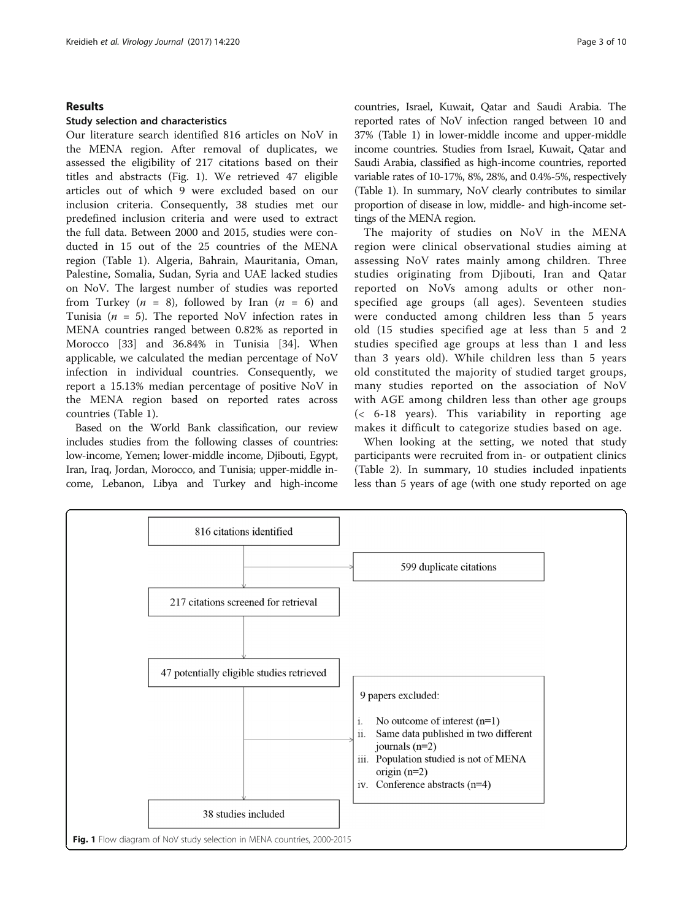# Results

# Study selection and characteristics

Our literature search identified 816 articles on NoV in the MENA region. After removal of duplicates, we assessed the eligibility of 217 citations based on their titles and abstracts (Fig. 1). We retrieved 47 eligible articles out of which 9 were excluded based on our inclusion criteria. Consequently, 38 studies met our predefined inclusion criteria and were used to extract the full data. Between 2000 and 2015, studies were conducted in 15 out of the 25 countries of the MENA region (Table [1](#page-3-0)). Algeria, Bahrain, Mauritania, Oman, Palestine, Somalia, Sudan, Syria and UAE lacked studies on NoV. The largest number of studies was reported from Turkey ( $n = 8$ ), followed by Iran ( $n = 6$ ) and Tunisia ( $n = 5$ ). The reported NoV infection rates in MENA countries ranged between 0.82% as reported in Morocco [[33](#page-7-0)] and 36.84% in Tunisia [\[34](#page-8-0)]. When applicable, we calculated the median percentage of NoV infection in individual countries. Consequently, we report a 15.13% median percentage of positive NoV in the MENA region based on reported rates across countries (Table [1\)](#page-3-0).

Based on the World Bank classification, our review includes studies from the following classes of countries: low-income, Yemen; lower-middle income, Djibouti, Egypt, Iran, Iraq, Jordan, Morocco, and Tunisia; upper-middle income, Lebanon, Libya and Turkey and high-income countries, Israel, Kuwait, Qatar and Saudi Arabia. The reported rates of NoV infection ranged between 10 and 37% (Table [1](#page-3-0)) in lower-middle income and upper-middle income countries. Studies from Israel, Kuwait, Qatar and Saudi Arabia, classified as high-income countries, reported variable rates of 10-17%, 8%, 28%, and 0.4%-5%, respectively (Table [1\)](#page-3-0). In summary, NoV clearly contributes to similar proportion of disease in low, middle- and high-income settings of the MENA region.

The majority of studies on NoV in the MENA region were clinical observational studies aiming at assessing NoV rates mainly among children. Three studies originating from Djibouti, Iran and Qatar reported on NoVs among adults or other nonspecified age groups (all ages). Seventeen studies were conducted among children less than 5 years old (15 studies specified age at less than 5 and 2 studies specified age groups at less than 1 and less than 3 years old). While children less than 5 years old constituted the majority of studied target groups, many studies reported on the association of NoV with AGE among children less than other age groups (< 6-18 years). This variability in reporting age makes it difficult to categorize studies based on age.

When looking at the setting, we noted that study participants were recruited from in- or outpatient clinics (Table [2](#page-4-0)). In summary, 10 studies included inpatients less than 5 years of age (with one study reported on age

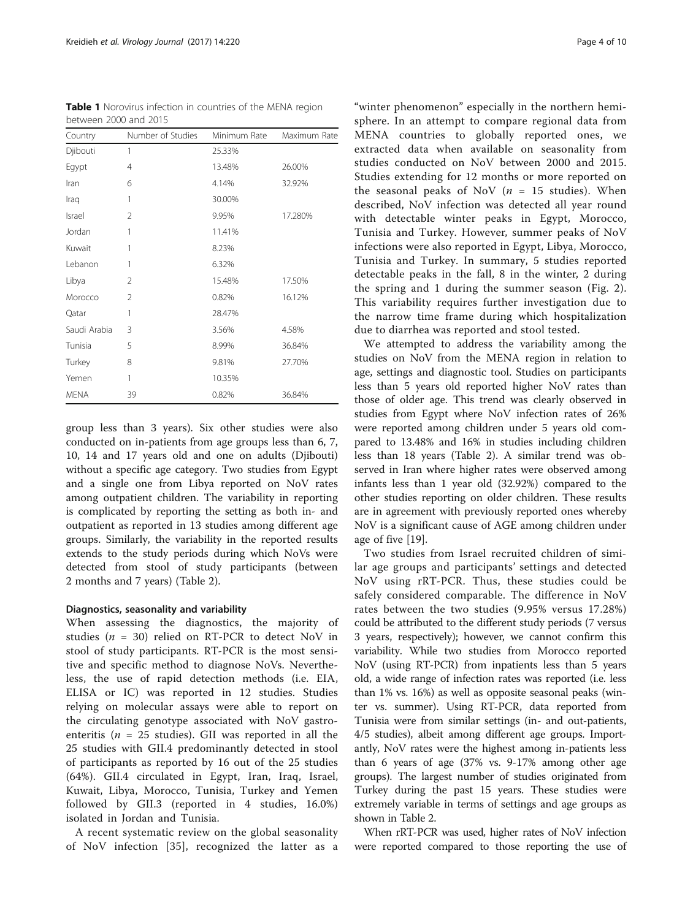<span id="page-3-0"></span>Table 1 Norovirus infection in countries of the MENA region between 2000 and 2015

| Country      | Number of Studies | Minimum Rate | Maximum Rate |  |
|--------------|-------------------|--------------|--------------|--|
| Djibouti     | 1                 | 25.33%       |              |  |
| Egypt        | 4                 | 13.48%       | 26.00%       |  |
| Iran         | 6                 | 4.14%        | 32.92%       |  |
| Iraq         | 1                 | 30.00%       |              |  |
| Israel       | 2                 | 9.95%        | 17.280%      |  |
| Jordan       | 1                 | 11.41%       |              |  |
| Kuwait       | 1                 | 8.23%        |              |  |
| Lebanon      | 1                 | 6.32%        |              |  |
| Libya        | $\overline{2}$    | 15.48%       | 17.50%       |  |
| Morocco      | 2                 | 0.82%        | 16.12%       |  |
| Qatar        | 1                 | 28.47%       |              |  |
| Saudi Arabia | 3                 | 3.56%        | 4.58%        |  |
| Tunisia      | 5                 | 8.99%        | 36.84%       |  |
| Turkey       | 8                 | 9.81%        | 27.70%       |  |
| Yemen        | 1                 | 10.35%       |              |  |
| <b>MENA</b>  | 39                | 0.82%        | 36.84%       |  |

group less than 3 years). Six other studies were also conducted on in-patients from age groups less than 6, 7, 10, 14 and 17 years old and one on adults (Djibouti) without a specific age category. Two studies from Egypt and a single one from Libya reported on NoV rates among outpatient children. The variability in reporting is complicated by reporting the setting as both in- and outpatient as reported in 13 studies among different age groups. Similarly, the variability in the reported results extends to the study periods during which NoVs were detected from stool of study participants (between 2 months and 7 years) (Table [2](#page-4-0)).

# Diagnostics, seasonality and variability

When assessing the diagnostics, the majority of studies ( $n = 30$ ) relied on RT-PCR to detect NoV in stool of study participants. RT-PCR is the most sensitive and specific method to diagnose NoVs. Nevertheless, the use of rapid detection methods (i.e. EIA, ELISA or IC) was reported in 12 studies. Studies relying on molecular assays were able to report on the circulating genotype associated with NoV gastroenteritis ( $n = 25$  studies). GII was reported in all the 25 studies with GII.4 predominantly detected in stool of participants as reported by 16 out of the 25 studies (64%). GII.4 circulated in Egypt, Iran, Iraq, Israel, Kuwait, Libya, Morocco, Tunisia, Turkey and Yemen followed by GII.3 (reported in 4 studies, 16.0%) isolated in Jordan and Tunisia.

A recent systematic review on the global seasonality of NoV infection [[35](#page-8-0)], recognized the latter as a

"winter phenomenon" especially in the northern hemisphere. In an attempt to compare regional data from MENA countries to globally reported ones, we extracted data when available on seasonality from studies conducted on NoV between 2000 and 2015. Studies extending for 12 months or more reported on the seasonal peaks of NoV ( $n = 15$  studies). When described, NoV infection was detected all year round with detectable winter peaks in Egypt, Morocco, Tunisia and Turkey. However, summer peaks of NoV infections were also reported in Egypt, Libya, Morocco, Tunisia and Turkey. In summary, 5 studies reported detectable peaks in the fall, 8 in the winter, 2 during the spring and 1 during the summer season (Fig. [2](#page-5-0)). This variability requires further investigation due to the narrow time frame during which hospitalization due to diarrhea was reported and stool tested.

We attempted to address the variability among the studies on NoV from the MENA region in relation to age, settings and diagnostic tool. Studies on participants less than 5 years old reported higher NoV rates than those of older age. This trend was clearly observed in studies from Egypt where NoV infection rates of 26% were reported among children under 5 years old compared to 13.48% and 16% in studies including children less than 18 years (Table [2\)](#page-4-0). A similar trend was observed in Iran where higher rates were observed among infants less than 1 year old (32.92%) compared to the other studies reporting on older children. These results are in agreement with previously reported ones whereby NoV is a significant cause of AGE among children under age of five [[19](#page-7-0)].

Two studies from Israel recruited children of similar age groups and participants' settings and detected NoV using rRT-PCR. Thus, these studies could be safely considered comparable. The difference in NoV rates between the two studies (9.95% versus 17.28%) could be attributed to the different study periods (7 versus 3 years, respectively); however, we cannot confirm this variability. While two studies from Morocco reported NoV (using RT-PCR) from inpatients less than 5 years old, a wide range of infection rates was reported (i.e. less than 1% vs. 16%) as well as opposite seasonal peaks (winter vs. summer). Using RT-PCR, data reported from Tunisia were from similar settings (in- and out-patients, 4/5 studies), albeit among different age groups. Importantly, NoV rates were the highest among in-patients less than 6 years of age (37% vs. 9-17% among other age groups). The largest number of studies originated from Turkey during the past 15 years. These studies were extremely variable in terms of settings and age groups as shown in Table [2](#page-4-0).

When rRT-PCR was used, higher rates of NoV infection were reported compared to those reporting the use of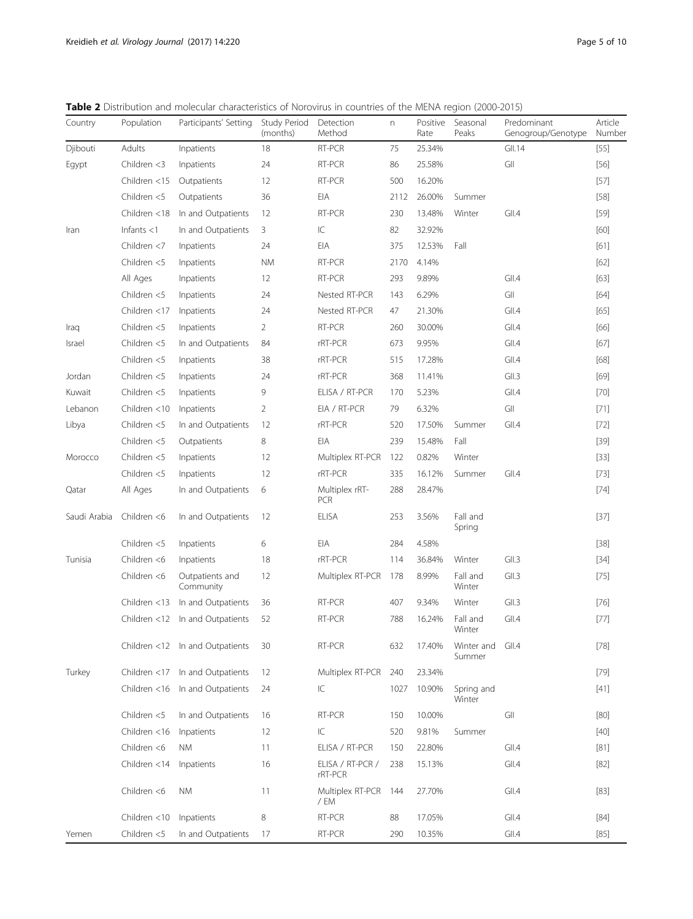<span id="page-4-0"></span>Table 2 Distribution and molecular characteristics of Norovirus in countries of the MENA region (2000-2015)

| Country      | Population      | Participants' Setting              | Study Period<br>(months) | Detection<br>Method         | n    | Positive<br>Rate | Seasonal<br>Peaks    | Predominant<br>Genogroup/Genotype | Article<br>Number |
|--------------|-----------------|------------------------------------|--------------------------|-----------------------------|------|------------------|----------------------|-----------------------------------|-------------------|
| Djibouti     | Adults          | Inpatients                         | 18                       | RT-PCR                      | 75   | 25.34%           |                      | GII.14                            | $[55]$            |
| Egypt        | Children $<$ 3  | Inpatients                         | 24                       | RT-PCR                      | 86   | 25.58%           |                      | GII                               | $[56]$            |
|              | Children $<$ 15 | Outpatients                        | 12                       | RT-PCR                      | 500  | 16.20%           |                      |                                   | $[57]$            |
|              | Children $<$ 5  | Outpatients                        | 36                       | EIA                         | 2112 | 26.00%           | Summer               |                                   | $[58]$            |
|              | Children $<$ 18 | In and Outpatients                 | 12                       | RT-PCR                      | 230  | 13.48%           | Winter               | GII.4                             | $[59]$            |
| Iran         | Infants $<$ 1   | In and Outpatients                 | 3                        | IC                          | 82   | 32.92%           |                      |                                   | [60]              |
|              | Children $<$ 7  | Inpatients                         | 24                       | EIA                         | 375  | 12.53%           | Fall                 |                                   | $[61]$            |
|              | Children $<$ 5  | Inpatients                         | <b>NM</b>                | RT-PCR                      | 2170 | 4.14%            |                      |                                   | $[62]$            |
|              | All Ages        | Inpatients                         | 12                       | RT-PCR                      | 293  | 9.89%            |                      | GII.4                             | $[63]$            |
|              | Children $<$ 5  | Inpatients                         | 24                       | Nested RT-PCR               | 143  | 6.29%            |                      | GII                               | [64]              |
|              | Children <17    | Inpatients                         | 24                       | Nested RT-PCR               | 47   | 21.30%           |                      | GII.4                             | $[65]$            |
| Iraq         | Children $<$ 5  | Inpatients                         | $\overline{2}$           | RT-PCR                      | 260  | 30.00%           |                      | GII.4                             | [66]              |
| Israel       | Children $<$ 5  | In and Outpatients                 | 84                       | rRT-PCR                     | 673  | 9.95%            |                      | GII.4                             | $[67]$            |
|              | Children $<$ 5  | Inpatients                         | 38                       | rRT-PCR                     | 515  | 17.28%           |                      | GII.4                             | [68]              |
| Jordan       | Children $<$ 5  | Inpatients                         | 24                       | rRT-PCR                     | 368  | 11.41%           |                      | GII.3                             | $[69]$            |
| Kuwait       | Children $<$ 5  | Inpatients                         | 9                        | ELISA / RT-PCR              | 170  | 5.23%            |                      | GII.4                             | $[70]$            |
| Lebanon      | Children <10    | Inpatients                         | $\overline{2}$           | EIA / RT-PCR                | 79   | 6.32%            |                      | GII                               | $[71]$            |
| Libya        | Children <5     | In and Outpatients                 | 12                       | rRT-PCR                     | 520  | 17.50%           | Summer               | GII.4                             | [72]              |
|              | Children $<$ 5  | Outpatients                        | 8                        | EIA                         | 239  | 15.48%           | Fall                 |                                   | $[39]$            |
| Morocco      | Children $<$ 5  | Inpatients                         | 12                       | Multiplex RT-PCR            | 122  | 0.82%            | Winter               |                                   | $[33]$            |
|              | Children $<$ 5  | Inpatients                         | 12                       | rRT-PCR                     | 335  | 16.12%           | Summer               | GII.4                             | [73]              |
| Qatar        | All Ages        | In and Outpatients                 | 6                        | Multiplex rRT-<br>PCR       | 288  | 28.47%           |                      |                                   | $[74]$            |
| Saudi Arabia | Children $<$ 6  | In and Outpatients                 | 12                       | <b>ELISA</b>                | 253  | 3.56%            | Fall and<br>Spring   |                                   | [37]              |
|              | Children $<$ 5  | Inpatients                         | 6                        | EIA                         | 284  | 4.58%            |                      |                                   | $[38]$            |
| Tunisia      | Children <6     | Inpatients                         | 18                       | rRT-PCR                     | 114  | 36.84%           | Winter               | GII.3                             | $[34]$            |
|              | Children $<$ 6  | Outpatients and<br>Community       | 12                       | Multiplex RT-PCR            | 178  | 8.99%            | Fall and<br>Winter   | GII.3                             | $[75]$            |
|              | Children $<$ 13 | In and Outpatients                 | 36                       | RT-PCR                      | 407  | 9.34%            | Winter               | GII.3                             | $[76]$            |
|              |                 | Children <12 In and Outpatients    | 52                       | RT-PCR                      | 788  | 16.24%           | Fall and<br>Winter   | GII.4                             | $[77]$            |
|              |                 | Children <12 In and Outpatients    | 30                       | RT-PCR                      | 632  | 17.40%           | Winter and<br>Summer | GII.4                             | $[78]$            |
| Turkey       |                 | Children $<$ 17 In and Outpatients | 12                       | Multiplex RT-PCR            | 240  | 23.34%           |                      |                                   | $[79]$            |
|              |                 | Children <16 In and Outpatients    | 24                       | IС                          | 1027 | 10.90%           | Spring and<br>Winter |                                   | $[41]$            |
|              | Children <5     | In and Outpatients                 | 16                       | RT-PCR                      | 150  | 10.00%           |                      | GII                               | $[80]$            |
|              | Children $<$ 16 | Inpatients                         | 12                       | IC                          | 520  | 9.81%            | Summer               |                                   | $[40]$            |
|              | Children <6     | <b>NM</b>                          | 11                       | ELISA / RT-PCR              | 150  | 22.80%           |                      | GII.4                             | $[81]$            |
|              | Children <14    | Inpatients                         | 16                       | ELISA / RT-PCR /<br>rRT-PCR | 238  | 15.13%           |                      | GII.4                             | $[82]$            |
|              | Children <6     | <b>NM</b>                          | 11                       | Multiplex RT-PCR<br>/ EM    | 144  | 27.70%           |                      | GII.4                             | $[83]$            |
|              | Children <10    | Inpatients                         | 8                        | RT-PCR                      | 88   | 17.05%           |                      | GII.4                             | $[84]$            |
| Yemen        | Children $<$ 5  | In and Outpatients                 | 17                       | RT-PCR                      | 290  | 10.35%           |                      | GII.4                             | $[85]$            |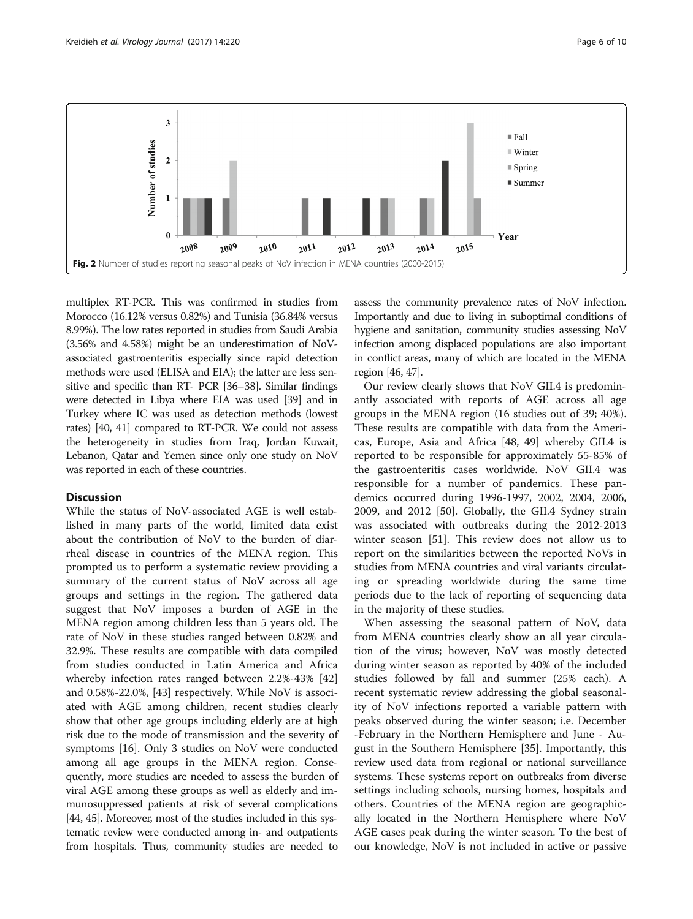<span id="page-5-0"></span>

multiplex RT-PCR. This was confirmed in studies from Morocco (16.12% versus 0.82%) and Tunisia (36.84% versus 8.99%). The low rates reported in studies from Saudi Arabia (3.56% and 4.58%) might be an underestimation of NoVassociated gastroenteritis especially since rapid detection methods were used (ELISA and EIA); the latter are less sensitive and specific than RT- PCR [[36](#page-8-0)–[38](#page-8-0)]. Similar findings were detected in Libya where EIA was used [\[39](#page-8-0)] and in Turkey where IC was used as detection methods (lowest rates) [[40](#page-8-0), [41](#page-8-0)] compared to RT-PCR. We could not assess the heterogeneity in studies from Iraq, Jordan Kuwait, Lebanon, Qatar and Yemen since only one study on NoV was reported in each of these countries.

# Discussion

While the status of NoV-associated AGE is well established in many parts of the world, limited data exist about the contribution of NoV to the burden of diarrheal disease in countries of the MENA region. This prompted us to perform a systematic review providing a summary of the current status of NoV across all age groups and settings in the region. The gathered data suggest that NoV imposes a burden of AGE in the MENA region among children less than 5 years old. The rate of NoV in these studies ranged between 0.82% and 32.9%. These results are compatible with data compiled from studies conducted in Latin America and Africa whereby infection rates ranged between 2.2%-43% [[42](#page-8-0)] and 0.58%-22.0%, [\[43](#page-8-0)] respectively. While NoV is associated with AGE among children, recent studies clearly show that other age groups including elderly are at high risk due to the mode of transmission and the severity of symptoms [\[16](#page-7-0)]. Only 3 studies on NoV were conducted among all age groups in the MENA region. Consequently, more studies are needed to assess the burden of viral AGE among these groups as well as elderly and immunosuppressed patients at risk of several complications [[44](#page-8-0), [45](#page-8-0)]. Moreover, most of the studies included in this systematic review were conducted among in- and outpatients from hospitals. Thus, community studies are needed to

assess the community prevalence rates of NoV infection. Importantly and due to living in suboptimal conditions of hygiene and sanitation, community studies assessing NoV infection among displaced populations are also important in conflict areas, many of which are located in the MENA region [\[46, 47\]](#page-8-0).

Our review clearly shows that NoV GII.4 is predominantly associated with reports of AGE across all age groups in the MENA region (16 studies out of 39; 40%). These results are compatible with data from the Americas, Europe, Asia and Africa [\[48](#page-8-0), [49\]](#page-8-0) whereby GII.4 is reported to be responsible for approximately 55-85% of the gastroenteritis cases worldwide. NoV GII.4 was responsible for a number of pandemics. These pandemics occurred during 1996-1997, 2002, 2004, 2006, 2009, and 2012 [\[50](#page-8-0)]. Globally, the GII.4 Sydney strain was associated with outbreaks during the 2012-2013 winter season [\[51](#page-8-0)]. This review does not allow us to report on the similarities between the reported NoVs in studies from MENA countries and viral variants circulating or spreading worldwide during the same time periods due to the lack of reporting of sequencing data in the majority of these studies.

When assessing the seasonal pattern of NoV, data from MENA countries clearly show an all year circulation of the virus; however, NoV was mostly detected during winter season as reported by 40% of the included studies followed by fall and summer (25% each). A recent systematic review addressing the global seasonality of NoV infections reported a variable pattern with peaks observed during the winter season; i.e. December -February in the Northern Hemisphere and June - August in the Southern Hemisphere [[35\]](#page-8-0). Importantly, this review used data from regional or national surveillance systems. These systems report on outbreaks from diverse settings including schools, nursing homes, hospitals and others. Countries of the MENA region are geographically located in the Northern Hemisphere where NoV AGE cases peak during the winter season. To the best of our knowledge, NoV is not included in active or passive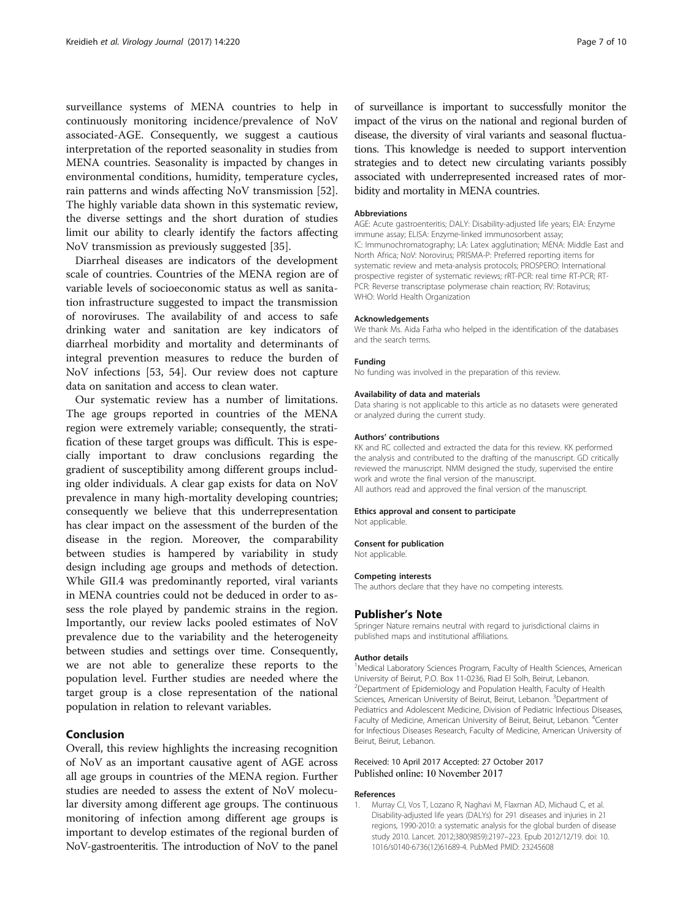<span id="page-6-0"></span>surveillance systems of MENA countries to help in continuously monitoring incidence/prevalence of NoV associated-AGE. Consequently, we suggest a cautious interpretation of the reported seasonality in studies from MENA countries. Seasonality is impacted by changes in environmental conditions, humidity, temperature cycles, rain patterns and winds affecting NoV transmission [\[52](#page-8-0)]. The highly variable data shown in this systematic review, the diverse settings and the short duration of studies limit our ability to clearly identify the factors affecting NoV transmission as previously suggested [\[35\]](#page-8-0).

Diarrheal diseases are indicators of the development scale of countries. Countries of the MENA region are of variable levels of socioeconomic status as well as sanitation infrastructure suggested to impact the transmission of noroviruses. The availability of and access to safe drinking water and sanitation are key indicators of diarrheal morbidity and mortality and determinants of integral prevention measures to reduce the burden of NoV infections [[53](#page-8-0), [54](#page-8-0)]. Our review does not capture data on sanitation and access to clean water.

Our systematic review has a number of limitations. The age groups reported in countries of the MENA region were extremely variable; consequently, the stratification of these target groups was difficult. This is especially important to draw conclusions regarding the gradient of susceptibility among different groups including older individuals. A clear gap exists for data on NoV prevalence in many high-mortality developing countries; consequently we believe that this underrepresentation has clear impact on the assessment of the burden of the disease in the region. Moreover, the comparability between studies is hampered by variability in study design including age groups and methods of detection. While GII.4 was predominantly reported, viral variants in MENA countries could not be deduced in order to assess the role played by pandemic strains in the region. Importantly, our review lacks pooled estimates of NoV prevalence due to the variability and the heterogeneity between studies and settings over time. Consequently, we are not able to generalize these reports to the population level. Further studies are needed where the target group is a close representation of the national population in relation to relevant variables.

# Conclusion

Overall, this review highlights the increasing recognition of NoV as an important causative agent of AGE across all age groups in countries of the MENA region. Further studies are needed to assess the extent of NoV molecular diversity among different age groups. The continuous monitoring of infection among different age groups is important to develop estimates of the regional burden of NoV-gastroenteritis. The introduction of NoV to the panel

of surveillance is important to successfully monitor the impact of the virus on the national and regional burden of disease, the diversity of viral variants and seasonal fluctuations. This knowledge is needed to support intervention strategies and to detect new circulating variants possibly associated with underrepresented increased rates of morbidity and mortality in MENA countries.

#### Abbreviations

AGE: Acute gastroenteritis; DALY: Disability-adjusted life years; EIA: Enzyme immune assay; ELISA: Enzyme-linked immunosorbent assay; IC: Immunochromatography; LA: Latex agglutination; MENA: Middle East and North Africa; NoV: Norovirus; PRISMA-P: Preferred reporting items for systematic review and meta-analysis protocols; PROSPERO: International prospective register of systematic reviews; rRT-PCR: real time RT-PCR; RT-PCR: Reverse transcriptase polymerase chain reaction; RV: Rotavirus; WHO: World Health Organization

#### Acknowledgements

We thank Ms. Aida Farha who helped in the identification of the databases and the search terms.

#### Funding

No funding was involved in the preparation of this review.

#### Availability of data and materials

Data sharing is not applicable to this article as no datasets were generated or analyzed during the current study.

#### Authors' contributions

KK and RC collected and extracted the data for this review. KK performed the analysis and contributed to the drafting of the manuscript. GD critically reviewed the manuscript. NMM designed the study, supervised the entire work and wrote the final version of the manuscript.

All authors read and approved the final version of the manuscript.

### Ethics approval and consent to participate

Not applicable.

#### Consent for publication

Not applicable.

#### Competing interests

The authors declare that they have no competing interests.

#### Publisher's Note

Springer Nature remains neutral with regard to jurisdictional claims in published maps and institutional affiliations.

#### Author details

<sup>1</sup>Medical Laboratory Sciences Program, Faculty of Health Sciences, American University of Beirut, P.O. Box 11-0236, Riad El Solh, Beirut, Lebanon. <sup>2</sup>Department of Epidemiology and Population Health, Faculty of Health Sciences, American University of Beirut, Beirut, Lebanon. <sup>3</sup>Department of Pediatrics and Adolescent Medicine, Division of Pediatric Infectious Diseases, Faculty of Medicine, American University of Beirut, Beirut, Lebanon. <sup>4</sup>Center for Infectious Diseases Research, Faculty of Medicine, American University of Beirut, Beirut, Lebanon.

# Received: 10 April 2017 Accepted: 27 October 2017 Published online: 10 November 2017

#### References

1. Murray CJ, Vos T, Lozano R, Naghavi M, Flaxman AD, Michaud C, et al. Disability-adjusted life years (DALYs) for 291 diseases and injuries in 21 regions, 1990-2010: a systematic analysis for the global burden of disease study 2010. Lancet. 2012;380(9859):2197–223. Epub 2012/12/19. doi: 10. 1016/s0140-6736(12)61689-4. PubMed PMID: 23245608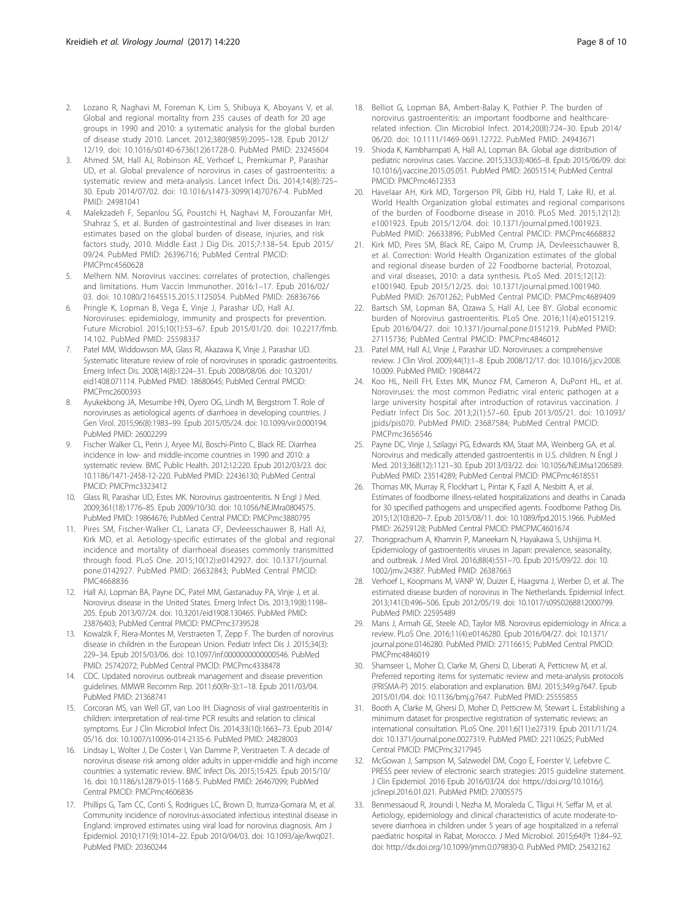- <span id="page-7-0"></span>2. Lozano R, Naghavi M, Foreman K, Lim S, Shibuya K, Aboyans V, et al. Global and regional mortality from 235 causes of death for 20 age groups in 1990 and 2010: a systematic analysis for the global burden of disease study 2010. Lancet. 2012;380(9859):2095–128. Epub 2012/ 12/19. doi: 10.1016/s0140-6736(12)61728-0. PubMed PMID: 23245604
- 3. Ahmed SM, Hall AJ, Robinson AE, Verhoef L, Premkumar P, Parashar UD, et al. Global prevalence of norovirus in cases of gastroenteritis: a systematic review and meta-analysis. Lancet Infect Dis. 2014;14(8):725– 30. Epub 2014/07/02. doi: 10.1016/s1473-3099(14)70767-4. PubMed PMID: 24981041
- 4. Malekzadeh F, Sepanlou SG, Poustchi H, Naghavi M, Forouzanfar MH, Shahraz S, et al. Burden of gastrointestinal and liver diseases in Iran: estimates based on the global burden of disease, injuries, and risk factors study, 2010. Middle East J Dig Dis. 2015;7:138–54. Epub 2015/ 09/24. PubMed PMID: 26396716; PubMed Central PMCID: PMCPmc4560628
- 5. Melhem NM. Norovirus vaccines: correlates of protection, challenges and limitations. Hum Vaccin Immunother. 2016:1–17. Epub 2016/02/ 03. doi: 10.1080/21645515.2015.1125054. PubMed PMID: 26836766
- 6. Pringle K, Lopman B, Vega E, Vinje J, Parashar UD, Hall AJ. Noroviruses: epidemiology, immunity and prospects for prevention. Future Microbiol. 2015;10(1):53–67. Epub 2015/01/20. doi: 10.2217/fmb. 14.102. PubMed PMID: 25598337
- 7. Patel MM, Widdowson MA, Glass RI, Akazawa K, Vinje J, Parashar UD. Systematic literature review of role of noroviruses in sporadic gastroenteritis. Emerg Infect Dis. 2008;14(8):1224–31. Epub 2008/08/06. doi: 10.3201/ eid1408.071114. PubMed PMID: 18680645; PubMed Central PMCID: PMCPmc2600393
- 8. Ayukekbong JA, Mesumbe HN, Oyero OG, Lindh M, Bergstrom T. Role of noroviruses as aetiological agents of diarrhoea in developing countries. J Gen Virol. 2015;96(8):1983–99. Epub 2015/05/24. doi: 10.1099/vir.0.000194. PubMed PMID: 26002299
- 9. Fischer Walker CL, Perin J, Aryee MJ, Boschi-Pinto C, Black RE. Diarrhea incidence in low- and middle-income countries in 1990 and 2010: a systematic review. BMC Public Health. 2012;12:220. Epub 2012/03/23. doi: 10.1186/1471-2458-12-220. PubMed PMID: 22436130; PubMed Central PMCID: PMCPmc3323412
- 10. Glass RI, Parashar UD, Estes MK. Norovirus gastroenteritis. N Engl J Med. 2009;361(18):1776–85. Epub 2009/10/30. doi: 10.1056/NEJMra0804575. PubMed PMID: 19864676; PubMed Central PMCID: PMCPmc3880795
- 11. Pires SM, Fischer-Walker CL, Lanata CF, Devleesschauwer B, Hall AJ, Kirk MD, et al. Aetiology-specific estimates of the global and regional incidence and mortality of diarrhoeal diseases commonly transmitted through food. PLoS One. 2015;10(12):e0142927. doi: 10.1371/journal. pone.0142927. PubMed PMID: 26632843; PubMed Central PMCID: PMC4668836
- 12. Hall AJ, Lopman BA, Payne DC, Patel MM, Gastanaduy PA, Vinje J, et al. Norovirus disease in the United States. Emerg Infect Dis. 2013;19(8):1198– 205. Epub 2013/07/24. doi: 10.3201/eid1908.130465. PubMed PMID: 23876403; PubMed Central PMCID: PMCPmc3739528
- 13. Kowalzik F, Riera-Montes M, Verstraeten T, Zepp F. The burden of norovirus disease in children in the European Union. Pediatr Infect Dis J. 2015;34(3): 229–34. Epub 2015/03/06. doi: 10.1097/inf.0000000000000546. PubMed PMID: 25742072; PubMed Central PMCID: PMCPmc4338478
- 14. CDC. Updated norovirus outbreak management and disease prevention guidelines. MMWR Recomm Rep. 2011;60(Rr-3):1–18. Epub 2011/03/04. PubMed PMID: 21368741
- 15. Corcoran MS, van Well GT, van Loo IH. Diagnosis of viral gastroenteritis in children: interpretation of real-time PCR results and relation to clinical symptoms. Eur J Clin Microbiol Infect Dis. 2014;33(10):1663–73. Epub 2014/ 05/16. doi: 10.1007/s10096-014-2135-6. PubMed PMID: 24828003
- 16. Lindsay L, Wolter J, De Coster I, Van Damme P, Verstraeten T. A decade of norovirus disease risk among older adults in upper-middle and high income countries: a systematic review. BMC Infect Dis. 2015;15:425. Epub 2015/10/ 16. doi: 10.1186/s12879-015-1168-5. PubMed PMID: 26467099; PubMed Central PMCID: PMCPmc4606836
- 17. Phillips G, Tam CC, Conti S, Rodrigues LC, Brown D, Iturriza-Gomara M, et al. Community incidence of norovirus-associated infectious intestinal disease in England: improved estimates using viral load for norovirus diagnosis. Am J Epidemiol. 2010;171(9):1014–22. Epub 2010/04/03. doi: 10.1093/aje/kwq021. PubMed PMID: 20360244
- 18. Belliot G, Lopman BA, Ambert-Balay K, Pothier P. The burden of norovirus gastroenteritis: an important foodborne and healthcarerelated infection. Clin Microbiol Infect. 2014;20(8):724–30. Epub 2014/ 06/20. doi: 10.1111/1469-0691.12722. PubMed PMID: 24943671
- 19. Shioda K, Kambhampati A, Hall AJ, Lopman BA. Global age distribution of pediatric norovirus cases. Vaccine. 2015;33(33):4065–8. Epub 2015/06/09. doi: 10.1016/j.vaccine.2015.05.051. PubMed PMID: 26051514; PubMed Central PMCID: PMCPmc4612353
- 20. Havelaar AH, Kirk MD, Torgerson PR, Gibb HJ, Hald T, Lake RJ, et al. World Health Organization global estimates and regional comparisons of the burden of Foodborne disease in 2010. PLoS Med. 2015;12(12): e1001923. Epub 2015/12/04. doi: 10.1371/journal.pmed.1001923. PubMed PMID: 26633896; PubMed Central PMCID: PMCPmc4668832
- 21. Kirk MD, Pires SM, Black RE, Caipo M, Crump JA, Devleesschauwer B, et al. Correction: World Health Organization estimates of the global and regional disease burden of 22 Foodborne bacterial, Protozoal, and viral diseases, 2010: a data synthesis. PLoS Med. 2015;12(12): e1001940. Epub 2015/12/25. doi: 10.1371/journal.pmed.1001940. PubMed PMID: 26701262; PubMed Central PMCID: PMCPmc4689409
- 22. Bartsch SM, Lopman BA, Ozawa S, Hall AJ, Lee BY. Global economic burden of Norovirus gastroenteritis. PLoS One. 2016;11(4):e0151219. Epub 2016/04/27. doi: 10.1371/journal.pone.0151219. PubMed PMID: 27115736; PubMed Central PMCID: PMCPmc4846012
- 23. Patel MM, Hall AJ, Vinje J, Parashar UD. Noroviruses: a comprehensive review. J Clin Virol. 2009;44(1):1–8. Epub 2008/12/17. doi: 10.1016/j.jcv.2008. 10.009. PubMed PMID: 19084472
- 24. Koo HL, Neill FH, Estes MK, Munoz FM, Cameron A, DuPont HL, et al. Noroviruses: the most common Pediatric viral enteric pathogen at a large university hospital after introduction of rotavirus vaccination. J Pediatr Infect Dis Soc. 2013;2(1):57–60. Epub 2013/05/21. doi: 10.1093/ jpids/pis070. PubMed PMID: 23687584; PubMed Central PMCID: PMCPmc3656546
- 25. Payne DC, Vinje J, Szilagyi PG, Edwards KM, Staat MA, Weinberg GA, et al. Norovirus and medically attended gastroenteritis in U.S. children. N Engl J Med. 2013;368(12):1121–30. Epub 2013/03/22. doi: 10.1056/NEJMsa1206589. PubMed PMID: 23514289; PubMed Central PMCID: PMCPmc4618551
- 26. Thomas MK, Murray R, Flockhart L, Pintar K, Fazil A, Nesbitt A, et al. Estimates of foodborne illness-related hospitalizations and deaths in Canada for 30 specified pathogens and unspecified agents. Foodborne Pathog Dis. 2015;12(10):820–7. Epub 2015/08/11. doi: 10.1089/fpd.2015.1966. PubMed PMID: 26259128; PubMed Central PMCID: PMCPMC4601674
- 27. Thongprachum A, Khamrin P, Maneekarn N, Hayakawa S, Ushijima H. Epidemiology of gastroenteritis viruses in Japan: prevalence, seasonality, and outbreak. J Med Virol. 2016;88(4):551–70. Epub 2015/09/22. doi: 10. 1002/jmv.24387. PubMed PMID: 26387663
- 28. Verhoef L, Koopmans M, VANP W, Duizer E, Haagsma J, Werber D, et al. The estimated disease burden of norovirus in The Netherlands. Epidemiol Infect. 2013;141(3):496–506. Epub 2012/05/19. doi: 10.1017/s0950268812000799. PubMed PMID: 22595489
- 29. Mans J, Armah GE, Steele AD, Taylor MB. Norovirus epidemiology in Africa: a review. PLoS One. 2016;11(4):e0146280. Epub 2016/04/27. doi: 10.1371/ journal.pone.0146280. PubMed PMID: 27116615; PubMed Central PMCID: PMCPmc4846019
- 30. Shamseer L, Moher D, Clarke M, Ghersi D, Liberati A, Petticrew M, et al. Preferred reporting items for systematic review and meta-analysis protocols (PRISMA-P) 2015: elaboration and explanation. BMJ. 2015;349:g7647. Epub 2015/01/04. doi: 10.1136/bmj.g7647. PubMed PMID: 25555855
- 31. Booth A, Clarke M, Ghersi D, Moher D, Petticrew M, Stewart L. Establishing a minimum dataset for prospective registration of systematic reviews: an international consultation. PLoS One. 2011;6(11):e27319. Epub 2011/11/24. doi: 10.1371/journal.pone.0027319. PubMed PMID: 22110625; PubMed Central PMCID: PMCPmc3217945
- 32. McGowan J, Sampson M, Salzwedel DM, Cogo E, Foerster V, Lefebvre C. PRESS peer review of electronic search strategies: 2015 guideline statement. J Clin Epidemiol. 2016 Epub 2016/03/24. doi: [https://doi.org/10.1016/j.](http://dx.doi.org/10.1016/j.jclinepi.2016.01.021) [jclinepi.2016.01.021](http://dx.doi.org/10.1016/j.jclinepi.2016.01.021). PubMed PMID: 27005575
- 33. Benmessaoud R, Jroundi I, Nezha M, Moraleda C, Tligui H, Seffar M, et al. Aetiology, epidemiology and clinical characteristics of acute moderate-tosevere diarrhoea in children under 5 years of age hospitalized in a referral paediatric hospital in Rabat, Morocco. J Med Microbiol. 2015;64(Pt 1):84–92. doi: http://dx.doi.org/10.1099/jmm.0.079830-0. PubMed PMID: 25432162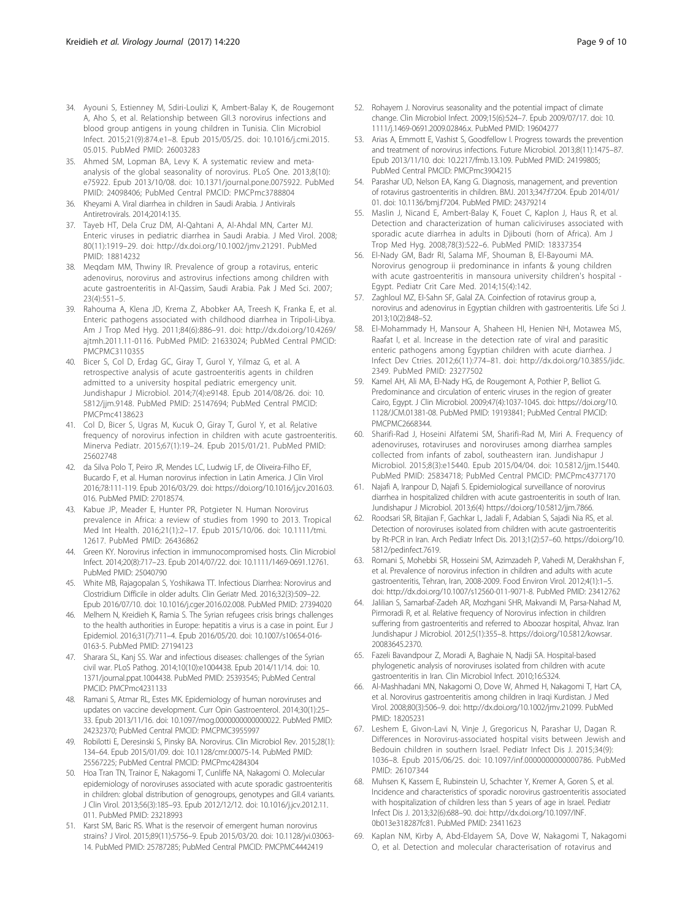- <span id="page-8-0"></span>34. Ayouni S, Estienney M, Sdiri-Loulizi K, Ambert-Balay K, de Rougemont A, Aho S, et al. Relationship between GII.3 norovirus infections and blood group antigens in young children in Tunisia. Clin Microbiol Infect. 2015;21(9):874.e1–8. Epub 2015/05/25. doi: 10.1016/j.cmi.2015. 05.015. PubMed PMID: 26003283
- 35. Ahmed SM, Lopman BA, Levy K. A systematic review and metaanalysis of the global seasonality of norovirus. PLoS One. 2013;8(10): e75922. Epub 2013/10/08. doi: 10.1371/journal.pone.0075922. PubMed PMID: 24098406; PubMed Central PMCID: PMCPmc3788804
- 36. Kheyami A. Viral diarrhea in children in Saudi Arabia. J Antivirals Antiretrovirals. 2014;2014:135.
- 37. Tayeb HT, Dela Cruz DM, Al-Qahtani A, Al-Ahdal MN, Carter MJ. Enteric viruses in pediatric diarrhea in Saudi Arabia. J Med Virol. 2008; 80(11):1919–29. doi: http://dx.doi.org/10.1002/jmv.21291. PubMed PMID: 18814232
- 38. Meqdam MM, Thwiny IR. Prevalence of group a rotavirus, enteric adenovirus, norovirus and astrovirus infections among children with acute gastroenteritis in Al-Qassim, Saudi Arabia. Pak J Med Sci. 2007; 23(4):551–5.
- 39. Rahouma A, Klena JD, Krema Z, Abobker AA, Treesh K, Franka E, et al. Enteric pathogens associated with childhood diarrhea in Tripoli-Libya. Am J Trop Med Hyg. 2011;84(6):886–91. doi: http://dx.doi.org/10.4269/ ajtmh.2011.11-0116. PubMed PMID: 21633024; PubMed Central PMCID: PMCPMC3110355
- 40. Bicer S, Col D, Erdag GC, Giray T, Gurol Y, Yilmaz G, et al. A retrospective analysis of acute gastroenteritis agents in children admitted to a university hospital pediatric emergency unit. Jundishapur J Microbiol. 2014;7(4):e9148. Epub 2014/08/26. doi: 10. 5812/jjm.9148. PubMed PMID: 25147694; PubMed Central PMCID: PMCPmc4138623
- 41. Col D, Bicer S, Ugras M, Kucuk O, Giray T, Gurol Y, et al. Relative frequency of norovirus infection in children with acute gastroenteritis. Minerva Pediatr. 2015;67(1):19–24. Epub 2015/01/21. PubMed PMID: 25602748
- 42. da Silva Polo T, Peiro JR, Mendes LC, Ludwig LF, de Oliveira-Filho EF, Bucardo F, et al. Human norovirus infection in Latin America. J Clin Virol 2016;78:111-119. Epub 2016/03/29. doi: [https://doi.org/10.1016/j.jcv.2016.03.](http://dx.doi.org/10.1016/j.jcv.2016.03.016) [016.](http://dx.doi.org/10.1016/j.jcv.2016.03.016) PubMed PMID: 27018574.
- 43. Kabue JP, Meader E, Hunter PR, Potgieter N. Human Norovirus prevalence in Africa: a review of studies from 1990 to 2013. Tropical Med Int Health. 2016;21(1):2–17. Epub 2015/10/06. doi: 10.1111/tmi. 12617. PubMed PMID: 26436862
- 44. Green KY. Norovirus infection in immunocompromised hosts. Clin Microbiol Infect. 2014;20(8):717–23. Epub 2014/07/22. doi: 10.1111/1469-0691.12761. PubMed PMID: 25040790
- 45. White MB, Rajagopalan S, Yoshikawa TT. Infectious Diarrhea: Norovirus and Clostridium Difficile in older adults. Clin Geriatr Med. 2016;32(3):509–22. Epub 2016/07/10. doi: 10.1016/j.cger.2016.02.008. PubMed PMID: 27394020
- 46. Melhem N, Kreidieh K, Ramia S. The Syrian refugees crisis brings challenges to the health authorities in Europe: hepatitis a virus is a case in point. Eur J Epidemiol. 2016;31(7):711–4. Epub 2016/05/20. doi: 10.1007/s10654-016- 0163-5. PubMed PMID: 27194123
- 47. Sharara SL, Kanj SS. War and infectious diseases: challenges of the Syrian civil war. PLoS Pathog. 2014;10(10):e1004438. Epub 2014/11/14. doi: 10. 1371/journal.ppat.1004438. PubMed PMID: 25393545; PubMed Central PMCID: PMCPmc4231133
- 48. Ramani S, Atmar RL, Estes MK. Epidemiology of human noroviruses and updates on vaccine development. Curr Opin Gastroenterol. 2014;30(1):25– 33. Epub 2013/11/16. doi: 10.1097/mog.0000000000000022. PubMed PMID: 24232370; PubMed Central PMCID: PMCPMC3955997
- 49. Robilotti E, Deresinski S, Pinsky BA. Norovirus. Clin Microbiol Rev. 2015;28(1): 134–64. Epub 2015/01/09. doi: 10.1128/cmr.00075-14. PubMed PMID: 25567225; PubMed Central PMCID: PMCPmc4284304
- 50. Hoa Tran TN, Trainor E, Nakagomi T, Cunliffe NA, Nakagomi O. Molecular epidemiology of noroviruses associated with acute sporadic gastroenteritis in children: global distribution of genogroups, genotypes and GII.4 variants. J Clin Virol. 2013;56(3):185–93. Epub 2012/12/12. doi: 10.1016/j.jcv.2012.11. 011. PubMed PMID: 23218993
- 51. Karst SM, Baric RS. What is the reservoir of emergent human norovirus strains? J Virol. 2015;89(11):5756–9. Epub 2015/03/20. doi: 10.1128/jvi.03063- 14. PubMed PMID: 25787285; PubMed Central PMCID: PMCPMC4442419
- 52. Rohayem J. Norovirus seasonality and the potential impact of climate change. Clin Microbiol Infect. 2009;15(6):524–7. Epub 2009/07/17. doi: 10. 1111/j.1469-0691.2009.02846.x. PubMed PMID: 19604277
- 53. Arias A, Emmott E, Vashist S, Goodfellow I. Progress towards the prevention and treatment of norovirus infections. Future Microbiol. 2013;8(11):1475–87. Epub 2013/11/10. doi: 10.2217/fmb.13.109. PubMed PMID: 24199805; PubMed Central PMCID: PMCPmc3904215
- 54. Parashar UD, Nelson EA, Kang G. Diagnosis, management, and prevention of rotavirus gastroenteritis in children. BMJ. 2013;347:f7204. Epub 2014/01/ 01. doi: 10.1136/bmj.f7204. PubMed PMID: 24379214
- 55. Maslin J, Nicand E, Ambert-Balay K, Fouet C, Kaplon J, Haus R, et al. Detection and characterization of human caliciviruses associated with sporadic acute diarrhea in adults in Djibouti (horn of Africa). Am J Trop Med Hyg. 2008;78(3):522–6. PubMed PMID: 18337354
- 56. El-Nady GM, Badr RI, Salama MF, Shouman B, El-Bayoumi MA. Norovirus genogroup ii predominance in infants & young children with acute gastroenteritis in mansoura university children's hospital - Egypt. Pediatr Crit Care Med. 2014;15(4):142.
- 57. Zaghloul MZ, El-Sahn SF, Galal ZA. Coinfection of rotavirus group a, norovirus and adenovirus in Egyptian children with gastroenteritis. Life Sci J. 2013;10(2):848–52.
- 58. El-Mohammady H, Mansour A, Shaheen HI, Henien NH, Motawea MS, Raafat I, et al. Increase in the detection rate of viral and parasitic enteric pathogens among Egyptian children with acute diarrhea. J Infect Dev Ctries. 2012;6(11):774–81. doi: http://dx.doi.org/10.3855/jidc. 2349. PubMed PMID: 23277502
- 59. Kamel AH, Ali MA, El-Nady HG, de Rougemont A, Pothier P, Belliot G. Predominance and circulation of enteric viruses in the region of greater Cairo, Egypt. J Clin Microbiol. 2009;47(4):1037-1045. doi: [https://doi.org/10.](http://dx.doi.org/10.1128/JCM.01381-08) [1128/JCM.01381-08.](http://dx.doi.org/10.1128/JCM.01381-08) PubMed PMID: 19193841; PubMed Central PMCID: PMCPMC2668344.
- 60. Sharifi-Rad J, Hoseini Alfatemi SM, Sharifi-Rad M, Miri A. Frequency of adenoviruses, rotaviruses and noroviruses among diarrhea samples collected from infants of zabol, southeastern iran. Jundishapur J Microbiol. 2015;8(3):e15440. Epub 2015/04/04. doi: 10.5812/jjm.15440. PubMed PMID: 25834718; PubMed Central PMCID: PMCPmc4377170
- 61. Najafi A, Iranpour D, Najafi S. Epidemiological surveillance of norovirus diarrhea in hospitalized children with acute gastroenteritis in south of Iran. Jundishapur J Microbiol. 2013;6(4) [https://doi.org/10.5812/jjm.7866](http://dx.doi.org/10.5812/jjm.7866).
- 62. Roodsari SR, Bitajian F, Gachkar L, Jadali F, Adabian S, Sajadi Nia RS, et al. Detection of noroviruses isolated from children with acute gastroenteritis by Rt-PCR in Iran. Arch Pediatr Infect Dis. 2013;1(2):57–60. [https://doi.org/10.](http://dx.doi.org/10.5812/pedinfect.7619) [5812/pedinfect.7619.](http://dx.doi.org/10.5812/pedinfect.7619)
- 63. Romani S, Mohebbi SR, Hosseini SM, Azimzadeh P, Vahedi M, Derakhshan F, et al. Prevalence of norovirus infection in children and adults with acute gastroenteritis, Tehran, Iran, 2008-2009. Food Environ Virol. 2012;4(1):1–5. doi: http://dx.doi.org/10.1007/s12560-011-9071-8. PubMed PMID: 23412762
- 64. Jalilian S, Samarbaf-Zadeh AR, Mozhgani SHR, Makvandi M, Parsa-Nahad M, Pirmoradi R, et al. Relative frequency of Norovirus infection in children suffering from gastroenteritis and referred to Aboozar hospital, Ahvaz. Iran Jundishapur J Microbiol. 2012;5(1):355–8. [https://doi.org/10.5812/kowsar.](http://dx.doi.org/10.5812/kowsar.20083645.2370) [20083645.2370.](http://dx.doi.org/10.5812/kowsar.20083645.2370)
- 65. Fazeli Bavandpour Z, Moradi A, Baghaie N, Nadji SA. Hospital-based phylogenetic analysis of noroviruses isolated from children with acute gastroenteritis in Iran. Clin Microbiol Infect. 2010;16:S324.
- 66. Al-Mashhadani MN, Nakagomi O, Dove W, Ahmed H, Nakagomi T, Hart CA, et al. Norovirus gastroenteritis among children in Iraqi Kurdistan. J Med Virol. 2008;80(3):506–9. doi: http://dx.doi.org/10.1002/jmv.21099. PubMed PMID: 18205231
- 67. Leshem E, Givon-Lavi N, Vinje J, Gregoricus N, Parashar U, Dagan R. Differences in Norovirus-associated hospital visits between Jewish and Bedouin children in southern Israel. Pediatr Infect Dis J. 2015;34(9): 1036–8. Epub 2015/06/25. doi: 10.1097/inf.0000000000000786. PubMed PMID: 26107344
- 68. Muhsen K, Kassem E, Rubinstein U, Schachter Y, Kremer A, Goren S, et al. Incidence and characteristics of sporadic norovirus gastroenteritis associated with hospitalization of children less than 5 years of age in Israel. Pediatr Infect Dis J. 2013;32(6):688–90. doi: http://dx.doi.org/10.1097/INF. 0b013e318287fc81. PubMed PMID: 23411623
- 69. Kaplan NM, Kirby A, Abd-Eldayem SA, Dove W, Nakagomi T, Nakagomi O, et al. Detection and molecular characterisation of rotavirus and